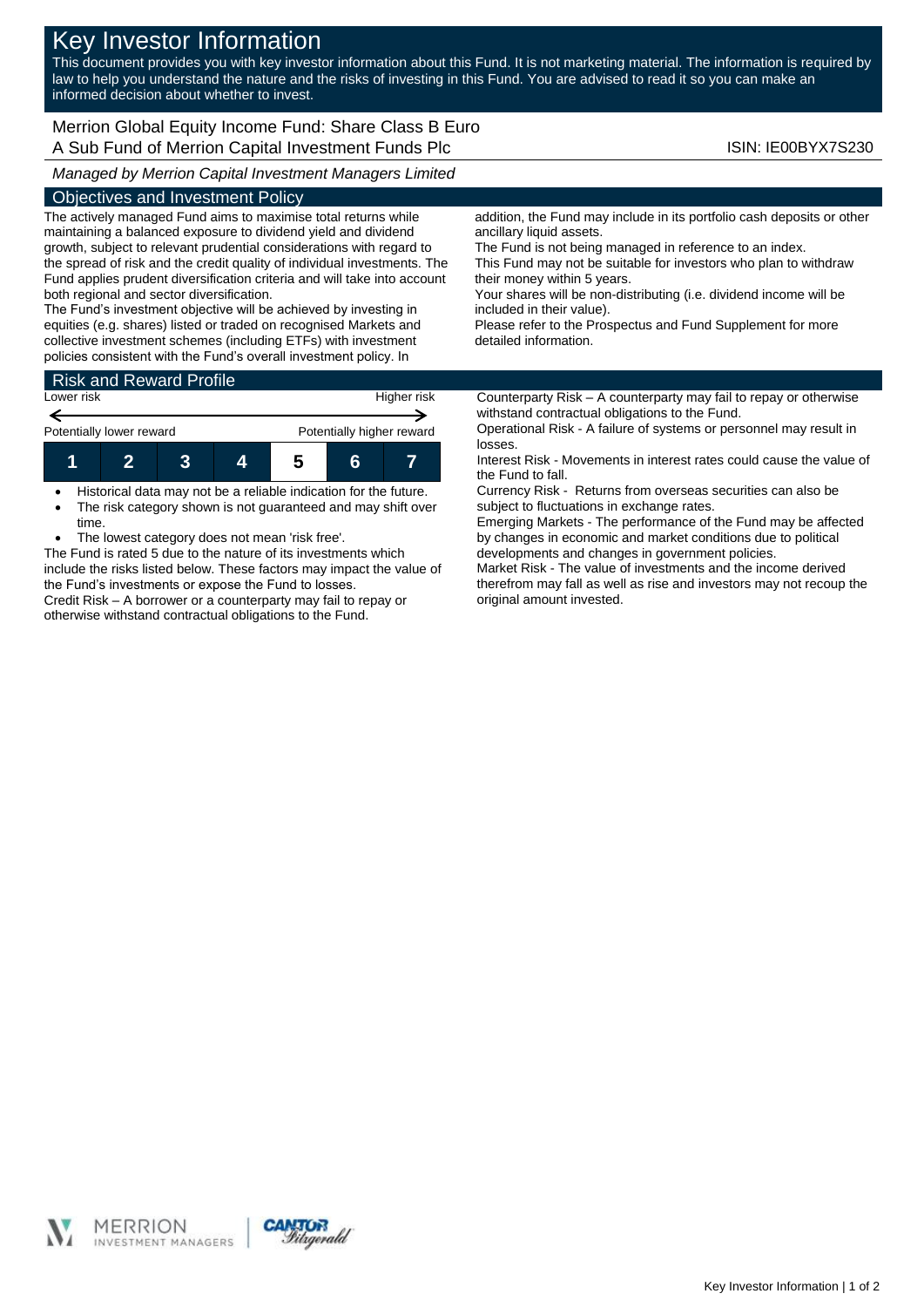# Key Investor Information

This document provides you with key investor information about this Fund. It is not marketing material. The information is required by law to help you understand the nature and the risks of investing in this Fund. You are advised to read it so you can make an informed decision about whether to invest.

Merrion Global Equity Income Fund: Share Class B Euro A Sub Fund of Merrion Capital Investment Funds Plc **ISIN: IE00BYX7S230** 

*Managed by Merrion Capital Investment Managers Limited*

## Objectives and Investment Policy

The actively managed Fund aims to maximise total returns while maintaining a balanced exposure to dividend yield and dividend growth, subject to relevant prudential considerations with regard to the spread of risk and the credit quality of individual investments. The Fund applies prudent diversification criteria and will take into account both regional and sector diversification.

The Fund's investment objective will be achieved by investing in equities (e.g. shares) listed or traded on recognised Markets and collective investment schemes (including ETFs) with investment policies consistent with the Fund's overall investment policy. In

| <b>Risk and Reward Profile</b> |   |  |             |                           |   |  |  |
|--------------------------------|---|--|-------------|---------------------------|---|--|--|
| Lower risk                     |   |  | Higher risk |                           |   |  |  |
| Potentially lower reward       |   |  |             | Potentially higher reward |   |  |  |
|                                | 2 |  |             | 5                         | ห |  |  |

- Historical data may not be a reliable indication for the future.
- The risk category shown is not guaranteed and may shift over time.
- The lowest category does not mean 'risk free'.

The Fund is rated 5 due to the nature of its investments which include the risks listed below. These factors may impact the value of the Fund's investments or expose the Fund to losses. Credit Risk – A borrower or a counterparty may fail to repay or

otherwise withstand contractual obligations to the Fund.

addition, the Fund may include in its portfolio cash deposits or other ancillary liquid assets.

The Fund is not being managed in reference to an index. This Fund may not be suitable for investors who plan to withdraw their money within 5 years.

Your shares will be non-distributing (i.e. dividend income will be included in their value).

Please refer to the Prospectus and Fund Supplement for more detailed information.

Counterparty Risk – A counterparty may fail to repay or otherwise withstand contractual obligations to the Fund.

Operational Risk - A failure of systems or personnel may result in losses.

Interest Risk - Movements in interest rates could cause the value of the Fund to fall.

Currency Risk - Returns from overseas securities can also be subject to fluctuations in exchange rates.

Emerging Markets - The performance of the Fund may be affected by changes in economic and market conditions due to political developments and changes in government policies.

Market Risk - The value of investments and the income derived therefrom may fall as well as rise and investors may not recoup the original amount invested.